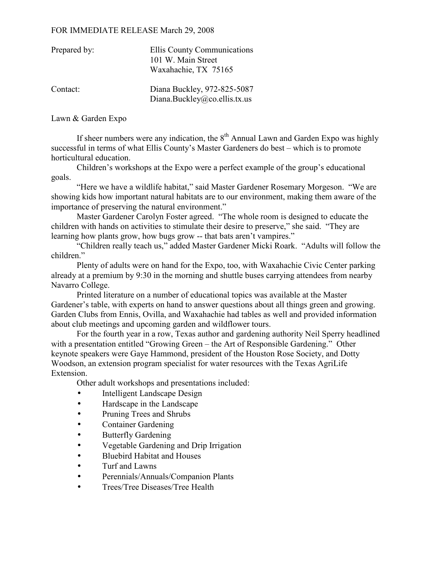## FOR IMMEDIATE RELEASE March 29, 2008

| Prepared by: | Ellis County Communications<br>101 W. Main Street<br>Waxahachie, TX 75165 |
|--------------|---------------------------------------------------------------------------|
| Contact:     | Diana Buckley, 972-825-5087<br>Diana.Buckley@co.ellis.tx.us               |

Lawn & Garden Expo

If sheer numbers were any indication, the  $8<sup>th</sup>$  Annual Lawn and Garden Expo was highly successful in terms of what Ellis County's Master Gardeners do best – which is to promote horticultural education.

 Children's workshops at the Expo were a perfect example of the group's educational goals.

 "Here we have a wildlife habitat," said Master Gardener Rosemary Morgeson. "We are showing kids how important natural habitats are to our environment, making them aware of the importance of preserving the natural environment."

 Master Gardener Carolyn Foster agreed. "The whole room is designed to educate the children with hands on activities to stimulate their desire to preserve," she said. "They are learning how plants grow, how bugs grow -- that bats aren't vampires."

 "Children really teach us," added Master Gardener Micki Roark. "Adults will follow the children."

 Plenty of adults were on hand for the Expo, too, with Waxahachie Civic Center parking already at a premium by 9:30 in the morning and shuttle buses carrying attendees from nearby Navarro College.

 Printed literature on a number of educational topics was available at the Master Gardener's table, with experts on hand to answer questions about all things green and growing. Garden Clubs from Ennis, Ovilla, and Waxahachie had tables as well and provided information about club meetings and upcoming garden and wildflower tours.

 For the fourth year in a row, Texas author and gardening authority Neil Sperry headlined with a presentation entitled "Growing Green – the Art of Responsible Gardening." Other keynote speakers were Gaye Hammond, president of the Houston Rose Society, and Dotty Woodson, an extension program specialist for water resources with the Texas AgriLife Extension.

Other adult workshops and presentations included:

- Intelligent Landscape Design
- Hardscape in the Landscape
- Pruning Trees and Shrubs
- Container Gardening
- Butterfly Gardening
- Vegetable Gardening and Drip Irrigation
- Bluebird Habitat and Houses
- Turf and Lawns
- Perennials/Annuals/Companion Plants
- Trees/Tree Diseases/Tree Health